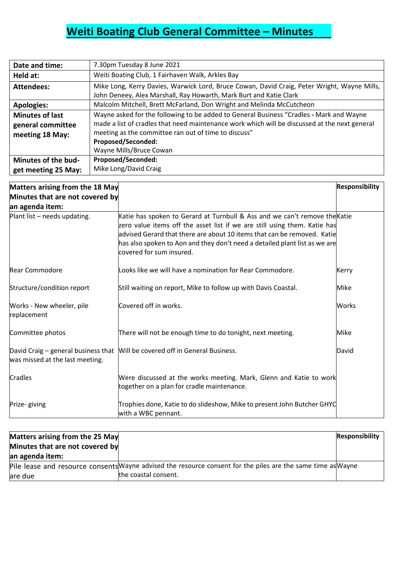## **Weiti Boating Club General Committee - Minutes**

| Date and time:         | 7.30pm Tuesday 8 June 2021                                                                    |
|------------------------|-----------------------------------------------------------------------------------------------|
| Held at:               | Weiti Boating Club, 1 Fairhaven Walk, Arkles Bay                                              |
| <b>Attendees:</b>      | Mike Long, Kerry Davies, Warwick Lord, Bruce Cowan, David Craig, Peter Wright, Wayne Mills,   |
|                        | John Deneey, Alex Marshall, Ray Howarth, Mark Burt and Katie Clark                            |
| <b>Apologies:</b>      | Malcolm Mitchell, Brett McFarland, Don Wright and Melinda McCutcheon                          |
| <b>Minutes of last</b> | Wayne asked for the following to be added to General Business "Cradles - Mark and Wayne       |
| general committee      | made a list of cradles that need maintenance work which will be discussed at the next general |
| meeting 18 May:        | meeting as the committee ran out of time to discuss"                                          |
|                        | <b>Proposed/Seconded:</b>                                                                     |
|                        | Wayne Mills/Bruce Cowan                                                                       |
| Minutes of the bud-    | <b>Proposed/Seconded:</b>                                                                     |
| get meeting 25 May:    | Mike Long/David Craig                                                                         |

| Matters arising from the 18 May          |                                                                                                                                                                                                                                                                                                                                              | <b>Responsibility</b> |
|------------------------------------------|----------------------------------------------------------------------------------------------------------------------------------------------------------------------------------------------------------------------------------------------------------------------------------------------------------------------------------------------|-----------------------|
| Minutes that are not covered by          |                                                                                                                                                                                                                                                                                                                                              |                       |
| an agenda item:                          |                                                                                                                                                                                                                                                                                                                                              |                       |
| Plant list - needs updating.             | Katie has spoken to Gerard at Turnbull & Ass and we can't remove the Katie<br>zero value items off the asset list if we are still using them. Katie has<br>advised Gerard that there are about 10 items that can be removed. Katie<br>has also spoken to Aon and they don't need a detailed plant list as we are<br>covered for sum insured. |                       |
| <b>Rear Commodore</b>                    | Looks like we will have a nomination for Rear Commodore.                                                                                                                                                                                                                                                                                     | <b>Kerry</b>          |
| Structure/condition report               | Still waiting on report, Mike to follow up with Davis Coastal.                                                                                                                                                                                                                                                                               | Mike                  |
| Works - New wheeler, pile<br>replacement | Covered off in works.                                                                                                                                                                                                                                                                                                                        | Works                 |
| Committee photos                         | There will not be enough time to do tonight, next meeting.                                                                                                                                                                                                                                                                                   | Mike                  |
| was missed at the last meeting.          | David Craig - general business that   Will be covered off in General Business.                                                                                                                                                                                                                                                               | <b>David</b>          |
| <b>Cradles</b>                           | Were discussed at the works meeting. Mark, Glenn and Katie to work<br>together on a plan for cradle maintenance.                                                                                                                                                                                                                             |                       |
| Prize-giving                             | Trophies done, Katie to do slideshow, Mike to present John Butcher GHYC<br>with a WBC pennant.                                                                                                                                                                                                                                               |                       |

| Matters arising from the 25 May<br>Minutes that are not covered by |                                                                                                              | <b>Responsibility</b> |
|--------------------------------------------------------------------|--------------------------------------------------------------------------------------------------------------|-----------------------|
| an agenda item:                                                    |                                                                                                              |                       |
|                                                                    | Pile lease and resource consents Wayne advised the resource consent for the piles are the same time as Wayne |                       |
| are due                                                            | the coastal consent.                                                                                         |                       |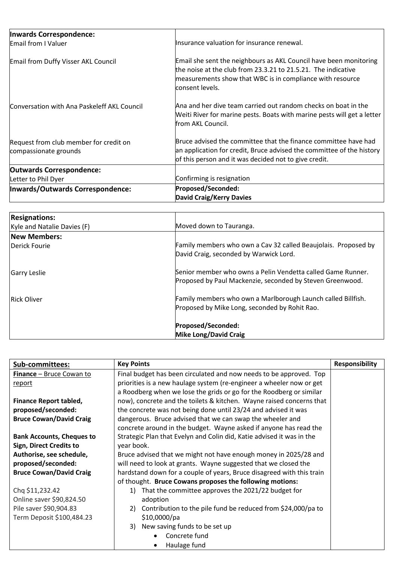| Inwards Correspondence:                                         |                                                                                                                                                                                                                    |
|-----------------------------------------------------------------|--------------------------------------------------------------------------------------------------------------------------------------------------------------------------------------------------------------------|
| Email from I Valuer                                             | Insurance valuation for insurance renewal.                                                                                                                                                                         |
| Email from Duffy Visser AKL Council                             | Email she sent the neighbours as AKL Council have been monitoring<br>the noise at the club from 23.3.21 to 21.5.21. The indicative<br>measurements show that WBC is in compliance with resource<br>consent levels. |
| Conversation with Ana Paskeleff AKL Council                     | Ana and her dive team carried out random checks on boat in the<br>Weiti River for marine pests. Boats with marine pests will get a letter<br>lfrom AKL Council.                                                    |
| Request from club member for credit on<br>compassionate grounds | Bruce advised the committee that the finance committee have had<br>an application for credit, Bruce advised the committee of the history<br>of this person and it was decided not to give credit.                  |
| <b>Outwards Correspondence:</b>                                 |                                                                                                                                                                                                                    |
| Letter to Phil Dyer                                             | Confirming is resignation                                                                                                                                                                                          |
| Inwards/Outwards Correspondence:                                | Proposed/Seconded:                                                                                                                                                                                                 |
|                                                                 | <b>David Craig/Kerry Davies</b>                                                                                                                                                                                    |

| <b>Resignations:</b>        |                                                                |
|-----------------------------|----------------------------------------------------------------|
| Kyle and Natalie Davies (F) | Moved down to Tauranga.                                        |
| <b>New Members:</b>         |                                                                |
| Derick Fourie               | Family members who own a Cav 32 called Beaujolais. Proposed by |
|                             | David Craig, seconded by Warwick Lord.                         |
| Garry Leslie                | Senior member who owns a Pelin Vendetta called Game Runner.    |
|                             | Proposed by Paul Mackenzie, seconded by Steven Greenwood.      |
| <b>Rick Oliver</b>          | Family members who own a Marlborough Launch called Billfish.   |
|                             | Proposed by Mike Long, seconded by Rohit Rao.                  |
|                             | Proposed/Seconded:                                             |
|                             | <b>Mike Long/David Craig</b>                                   |

| Sub-committees:                  | <b>Key Points</b>                                                     | <b>Responsibility</b> |
|----------------------------------|-----------------------------------------------------------------------|-----------------------|
| <b>Finance</b> – Bruce Cowan to  | Final budget has been circulated and now needs to be approved. Top    |                       |
| <u>report</u>                    | priorities is a new haulage system (re-engineer a wheeler now or get  |                       |
|                                  | a Roodberg when we lose the grids or go for the Roodberg or similar   |                       |
| <b>Finance Report tabled,</b>    | now), concrete and the toilets & kitchen. Wayne raised concerns that  |                       |
| proposed/seconded:               | the concrete was not being done until 23/24 and advised it was        |                       |
| <b>Bruce Cowan/David Craig</b>   | dangerous. Bruce advised that we can swap the wheeler and             |                       |
|                                  | concrete around in the budget. Wayne asked if anyone has read the     |                       |
| <b>Bank Accounts, Cheques to</b> | Strategic Plan that Evelyn and Colin did, Katie advised it was in the |                       |
| <b>Sign, Direct Credits to</b>   | year book.                                                            |                       |
| Authorise, see schedule,         | Bruce advised that we might not have enough money in 2025/28 and      |                       |
| proposed/seconded:               | will need to look at grants. Wayne suggested that we closed the       |                       |
| <b>Bruce Cowan/David Craig</b>   | hardstand down for a couple of years, Bruce disagreed with this train |                       |
|                                  | of thought. Bruce Cowans proposes the following motions:              |                       |
| Chq \$11,232.42                  | That the committee approves the 2021/22 budget for<br>1)              |                       |
| Online saver \$90,824.50         | adoption                                                              |                       |
| Pile saver \$90,904.83           | Contribution to the pile fund be reduced from \$24,000/pa to<br>2)    |                       |
| Term Deposit \$100,484.23        | \$10,0000/pa                                                          |                       |
|                                  | 3) New saving funds to be set up                                      |                       |
|                                  | Concrete fund                                                         |                       |
|                                  | Haulage fund                                                          |                       |